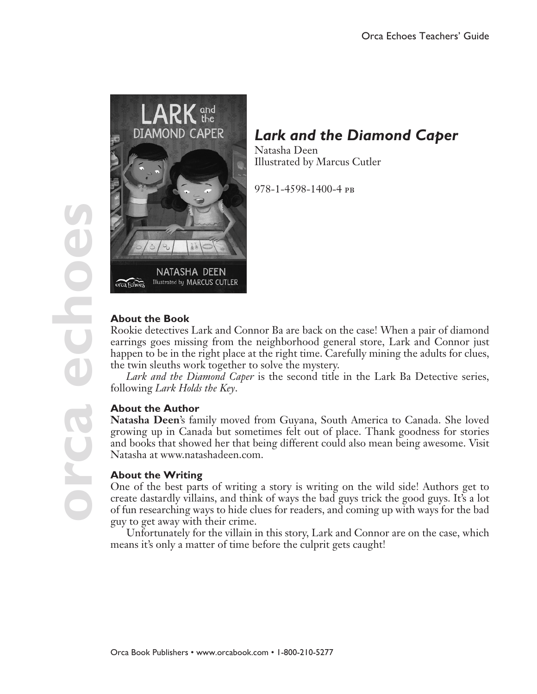



# *Lark and the Diamond Caper*

Natasha Deen Illustrated by Marcus Cutler

978-1-4598-1400-4 pb

#### **About the Book**

Rookie detectives Lark and Connor Ba are back on the case! When a pair of diamond earrings goes missing from the neighborhood general store, Lark and Connor just happen to be in the right place at the right time. Carefully mining the adults for clues, the twin sleuths work together to solve the mystery.

*Lark and the Diamond Caper* is the second title in the Lark Ba Detective series, following *Lark Holds the Key*.

#### **About the Author**

**Natasha Deen**'s family moved from Guyana, South America to Canada. She loved growing up in Canada but sometimes felt out of place. Thank goodness for stories and books that showed her that being different could also mean being awesome. Visit Natasha at www.natashadeen.com.

#### **About the Writing**

One of the best parts of writing a story is writing on the wild side! Authors get to create dastardly villains, and think of ways the bad guys trick the good guys. It's a lot of fun researching ways to hide clues for readers, and coming up with ways for the bad guy to get away with their crime.

Unfortunately for the villain in this story, Lark and Connor are on the case, which means it's only a matter of time before the culprit gets caught!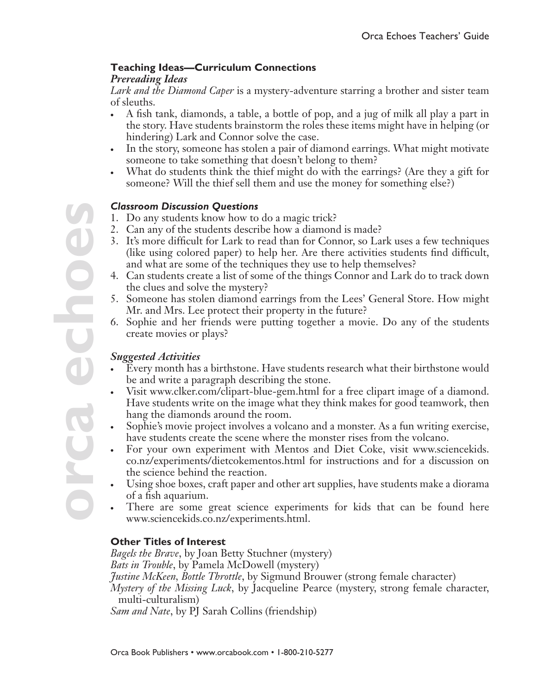# **Teaching Ideas—Curriculum Connections**

#### *Prereading Ideas*

*Lark and the Diamond Caper* is a mystery-adventure starring a brother and sister team of sleuths.

- A fish tank, diamonds, a table, a bottle of pop, and a jug of milk all play a part in the story. Have students brainstorm the roles these items might have in helping (or hindering) Lark and Connor solve the case.
- In the story, someone has stolen a pair of diamond earrings. What might motivate someone to take something that doesn't belong to them?
- What do students think the thief might do with the earrings? (Are they a gift for someone? Will the thief sell them and use the money for something else?)

## *Classroom Discussion Questions*

- 1. Do any students know how to do a magic trick?
- 2. Can any of the students describe how a diamond is made?
- 3. It's more difficult for Lark to read than for Connor, so Lark uses a few techniques (like using colored paper) to help her. Are there activities students find difficult, and what are some of the techniques they use to help themselves?
- 4. Can students create a list of some of the things Connor and Lark do to track down the clues and solve the mystery?
- 5. Someone has stolen diamond earrings from the Lees' General Store. How might Mr. and Mrs. Lee protect their property in the future?
- 6. Sophie and her friends were putting together a movie. Do any of the students create movies or plays?

# *Suggested Activities*

- Every month has a birthstone. Have students research what their birthstone would be and write a paragraph describing the stone.
- • Visit www.clker.com/clipart-blue-gem.html for a free clipart image of a diamond. Have students write on the image what they think makes for good teamwork, then hang the diamonds around the room.
- Sophie's movie project involves a volcano and a monster. As a fun writing exercise, have students create the scene where the monster rises from the volcano.
- For your own experiment with Mentos and Diet Coke, visit www.sciencekids. co.nz/experiments/dietcokementos.html for instructions and for a discussion on the science behind the reaction.
- Using shoe boxes, craft paper and other art supplies, have students make a diorama of a fish aquarium.
- There are some great science experiments for kids that can be found here www.sciencekids.co.nz/experiments.html.

## **Other Titles of Interest**

*Bagels the Brave*, by Joan Betty Stuchner (mystery) *Bats in Trouble*, by Pamela McDowell (mystery) *Justine McKeen, Bottle Throttle*, by Sigmund Brouwer (strong female character) *Mystery of the Missing Luck*, by Jacqueline Pearce (mystery, strong female character, multi-culturalism) *Sam and Nate*, by PJ Sarah Collins (friendship)